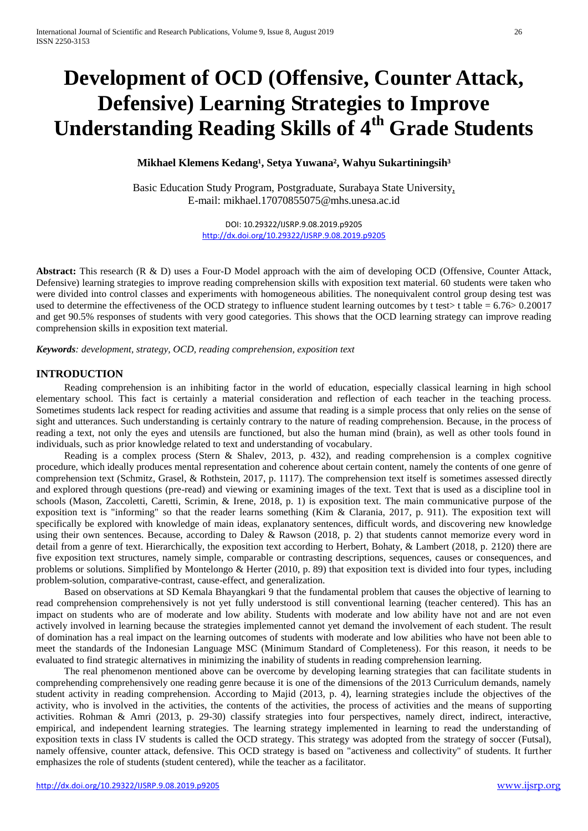# **Development of OCD (Offensive, Counter Attack, Defensive) Learning Strategies to Improve Understanding Reading Skills of 4th Grade Students**

# Mikhael Klemens Kedang<sup>1</sup>, Setya Yuwana<sup>2</sup>, Wahyu Sukartiningsih<sup>3</sup>

Basic Education Study Program, Postgraduate, Surabaya State University, E-mail: mikhael.17070855075@mhs.unesa.ac.id

> DOI: 10.29322/IJSRP.9.08.2019.p9205 <http://dx.doi.org/10.29322/IJSRP.9.08.2019.p9205>

**Abstract:** This research (R & D) uses a Four-D Model approach with the aim of developing OCD (Offensive, Counter Attack, Defensive) learning strategies to improve reading comprehension skills with exposition text material. 60 students were taken who were divided into control classes and experiments with homogeneous abilities. The nonequivalent control group desing test was used to determine the effectiveness of the OCD strategy to influence student learning outcomes by t test $>$  t table = 6.76 $> 0.20017$ and get 90.5% responses of students with very good categories. This shows that the OCD learning strategy can improve reading comprehension skills in exposition text material.

*Keywords: development, strategy, OCD, reading comprehension, exposition text*

## **INTRODUCTION**

Reading comprehension is an inhibiting factor in the world of education, especially classical learning in high school elementary school. This fact is certainly a material consideration and reflection of each teacher in the teaching process. Sometimes students lack respect for reading activities and assume that reading is a simple process that only relies on the sense of sight and utterances. Such understanding is certainly contrary to the nature of reading comprehension. Because, in the process of reading a text, not only the eyes and utensils are functioned, but also the human mind (brain), as well as other tools found in individuals, such as prior knowledge related to text and understanding of vocabulary.

Reading is a complex process (Stern & Shalev, 2013, p. 432), and reading comprehension is a complex cognitive procedure, which ideally produces mental representation and coherence about certain content, namely the contents of one genre of comprehension text (Schmitz, Grasel, & Rothstein, 2017, p. 1117). The comprehension text itself is sometimes assessed directly and explored through questions (pre-read) and viewing or examining images of the text. Text that is used as a discipline tool in schools (Mason, Zaccoletti, Caretti, Scrimin, & Irene, 2018, p. 1) is exposition text. The main communicative purpose of the exposition text is "informing" so that the reader learns something (Kim & Clarania, 2017, p. 911). The exposition text will specifically be explored with knowledge of main ideas, explanatory sentences, difficult words, and discovering new knowledge using their own sentences. Because, according to Daley & Rawson (2018, p. 2) that students cannot memorize every word in detail from a genre of text. Hierarchically, the exposition text according to Herbert, Bohaty, & Lambert (2018, p. 2120) there are five exposition text structures, namely simple, comparable or contrasting descriptions, sequences, causes or consequences, and problems or solutions. Simplified by Montelongo & Herter (2010, p. 89) that exposition text is divided into four types, including problem-solution, comparative-contrast, cause-effect, and generalization.

Based on observations at SD Kemala Bhayangkari 9 that the fundamental problem that causes the objective of learning to read comprehension comprehensively is not yet fully understood is still conventional learning (teacher centered). This has an impact on students who are of moderate and low ability. Students with moderate and low ability have not and are not even actively involved in learning because the strategies implemented cannot yet demand the involvement of each student. The result of domination has a real impact on the learning outcomes of students with moderate and low abilities who have not been able to meet the standards of the Indonesian Language MSC (Minimum Standard of Completeness). For this reason, it needs to be evaluated to find strategic alternatives in minimizing the inability of students in reading comprehension learning.

The real phenomenon mentioned above can be overcome by developing learning strategies that can facilitate students in comprehending comprehensively one reading genre because it is one of the dimensions of the 2013 Curriculum demands, namely student activity in reading comprehension. According to Majid (2013, p. 4), learning strategies include the objectives of the activity, who is involved in the activities, the contents of the activities, the process of activities and the means of supporting activities. Rohman & Amri (2013, p. 29-30) classify strategies into four perspectives, namely direct, indirect, interactive, empirical, and independent learning strategies. The learning strategy implemented in learning to read the understanding of exposition texts in class IV students is called the OCD strategy. This strategy was adopted from the strategy of soccer (Futsal), namely offensive, counter attack, defensive. This OCD strategy is based on "activeness and collectivity" of students. It further emphasizes the role of students (student centered), while the teacher as a facilitator.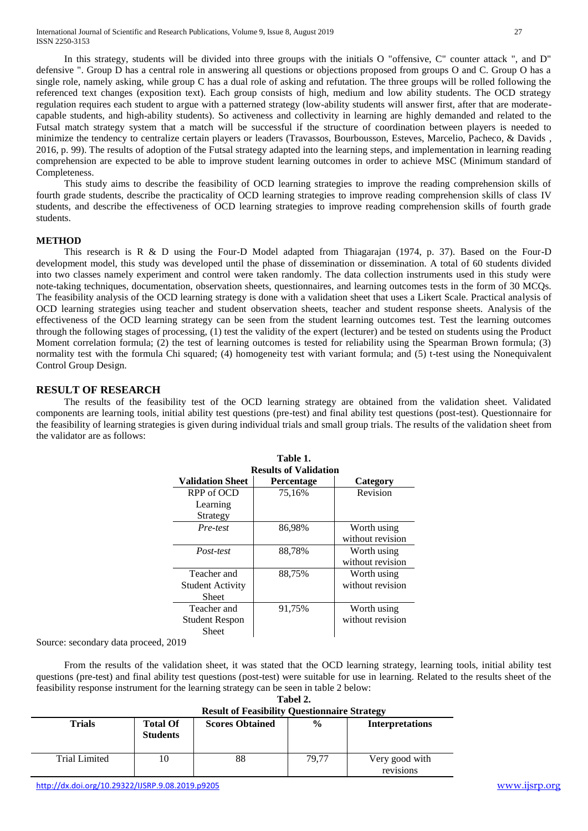This study aims to describe the feasibility of OCD learning strategies to improve the reading comprehension skills of fourth grade students, describe the practicality of OCD learning strategies to improve reading comprehension skills of class IV students, and describe the effectiveness of OCD learning strategies to improve reading comprehension skills of fourth grade students.

## **METHOD**

Completeness.

This research is R & D using the Four-D Model adapted from Thiagarajan (1974, p. 37). Based on the Four-D development model, this study was developed until the phase of dissemination or dissemination. A total of 60 students divided into two classes namely experiment and control were taken randomly. The data collection instruments used in this study were note-taking techniques, documentation, observation sheets, questionnaires, and learning outcomes tests in the form of 30 MCQs. The feasibility analysis of the OCD learning strategy is done with a validation sheet that uses a Likert Scale. Practical analysis of OCD learning strategies using teacher and student observation sheets, teacher and student response sheets. Analysis of the effectiveness of the OCD learning strategy can be seen from the student learning outcomes test. Test the learning outcomes through the following stages of processing, (1) test the validity of the expert (lecturer) and be tested on students using the Product Moment correlation formula; (2) the test of learning outcomes is tested for reliability using the Spearman Brown formula; (3) normality test with the formula Chi squared; (4) homogeneity test with variant formula; and (5) t-test using the Nonequivalent Control Group Design.

# **RESULT OF RESEARCH**

The results of the feasibility test of the OCD learning strategy are obtained from the validation sheet. Validated components are learning tools, initial ability test questions (pre-test) and final ability test questions (post-test). Questionnaire for the feasibility of learning strategies is given during individual trials and small group trials. The results of the validation sheet from the validator are as follows:

| Table 1.<br><b>Results of Validation</b>        |                   |                                 |  |  |
|-------------------------------------------------|-------------------|---------------------------------|--|--|
| <b>Validation Sheet</b>                         | <b>Percentage</b> | Category                        |  |  |
| RPP of OCD<br>Learning<br>Strategy              | 75,16%            | Revision                        |  |  |
| Pre-test                                        | 86,98%            | Worth using<br>without revision |  |  |
| Post-test                                       | 88,78%            | Worth using<br>without revision |  |  |
| Teacher and<br><b>Student Activity</b><br>Sheet | 88,75%            | Worth using<br>without revision |  |  |
| Teacher and<br><b>Student Respon</b><br>Sheet   | 91,75%            | Worth using<br>without revision |  |  |

Source: secondary data proceed, 2019

From the results of the validation sheet, it was stated that the OCD learning strategy, learning tools, initial ability test questions (pre-test) and final ability test questions (post-test) were suitable for use in learning. Related to the results sheet of the feasibility response instrument for the learning strategy can be seen in table 2 below:

| Tabel 2.                                            |
|-----------------------------------------------------|
| <b>Result of Feasibility Questionnaire Strategy</b> |

| $\sim$               |                                    |                        |               |                             |  |
|----------------------|------------------------------------|------------------------|---------------|-----------------------------|--|
| Trials               | <b>Total Of</b><br><b>Students</b> | <b>Scores Obtained</b> | $\frac{0}{0}$ | <b>Interpretations</b>      |  |
| <b>Trial Limited</b> | 10                                 | 88                     | 79.77         | Very good with<br>revisions |  |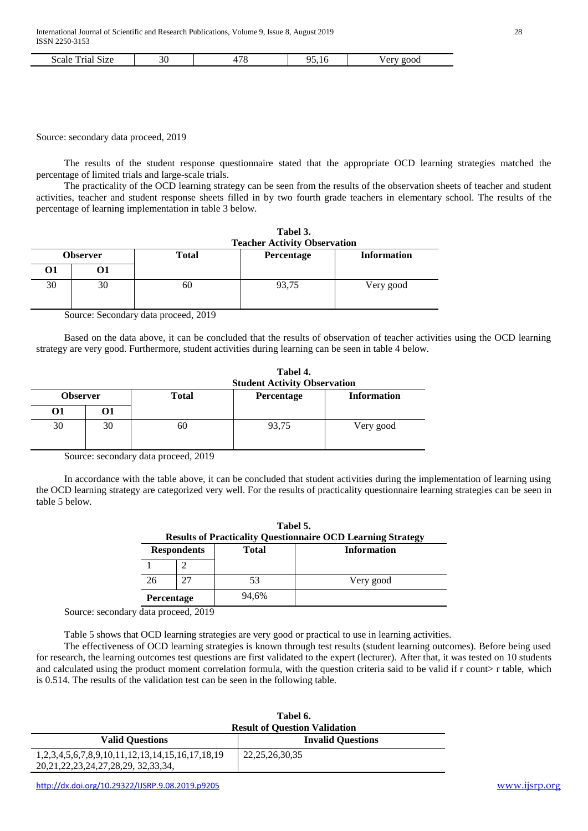| $\sim$<br>51Z <sub>e</sub><br>Scale<br>.<br>паг |  | $\pi c$<br>$\overline{\phantom{a}}$<br>╰ | . | 2000 |
|-------------------------------------------------|--|------------------------------------------|---|------|
|-------------------------------------------------|--|------------------------------------------|---|------|

Source: secondary data proceed, 2019

The results of the student response questionnaire stated that the appropriate OCD learning strategies matched the percentage of limited trials and large-scale trials.

The practicality of the OCD learning strategy can be seen from the results of the observation sheets of teacher and student activities, teacher and student response sheets filled in by two fourth grade teachers in elementary school. The results of the percentage of learning implementation in table 3 below.

|    |                 | Tabel 3.<br><b>Teacher Activity Observation</b>  |       |           |
|----|-----------------|--------------------------------------------------|-------|-----------|
|    | <b>Observer</b> | <b>Information</b><br><b>Total</b><br>Percentage |       |           |
| О1 | 01              |                                                  |       |           |
| 30 | 30              | 60                                               | 93,75 | Very good |

Source: Secondary data proceed, 2019

Based on the data above, it can be concluded that the results of observation of teacher activities using the OCD learning strategy are very good. Furthermore, student activities during learning can be seen in table 4 below.

|                            | Tabel 4.<br><b>Student Activity Observation</b> |            |                    |
|----------------------------|-------------------------------------------------|------------|--------------------|
| <b>Observer</b>            | <b>Total</b>                                    | Percentage | <b>Information</b> |
| 01<br>O1                   |                                                 |            |                    |
| 30<br>30                   | 60                                              | 93,75      | Very good          |
| $\sim$<br>$\sim$<br>$\sim$ | .                                               |            |                    |

Source: secondary data proceed, 2019

In accordance with the table above, it can be concluded that student activities during the implementation of learning using the OCD learning strategy are categorized very well. For the results of practicality questionnaire learning strategies can be seen in table 5 below.

| Tabel 5.<br><b>Results of Practicality Questionnaire OCD Learning Strategy</b> |                    |              |                    |  |
|--------------------------------------------------------------------------------|--------------------|--------------|--------------------|--|
|                                                                                | <b>Respondents</b> | <b>Total</b> | <b>Information</b> |  |
|                                                                                |                    |              |                    |  |
| 26                                                                             |                    | 53           | Very good          |  |
| <b>Percentage</b>                                                              |                    | 94,6%        |                    |  |

Source: secondary data proceed, 2019

Table 5 shows that OCD learning strategies are very good or practical to use in learning activities.

The effectiveness of OCD learning strategies is known through test results (student learning outcomes). Before being used for research, the learning outcomes test questions are first validated to the expert (lecturer). After that, it was tested on 10 students and calculated using the product moment correlation formula, with the question criteria said to be valid if r count> r table, which is 0.514. The results of the validation test can be seen in the following table.

|                                                                   | Tabel 6.<br><b>Result of Ouestion Validation</b> |  |  |
|-------------------------------------------------------------------|--------------------------------------------------|--|--|
| <b>Valid Ouestions</b>                                            | <b>Invalid Ouestions</b>                         |  |  |
| 1, 2, 3, 4, 5, 6, 7, 8, 9, 10, 11, 12, 13, 14, 15, 16, 17, 18, 19 | 22, 25, 26, 30, 35                               |  |  |
| 20, 21, 22, 23, 24, 27, 28, 29, 32, 33, 34,                       |                                                  |  |  |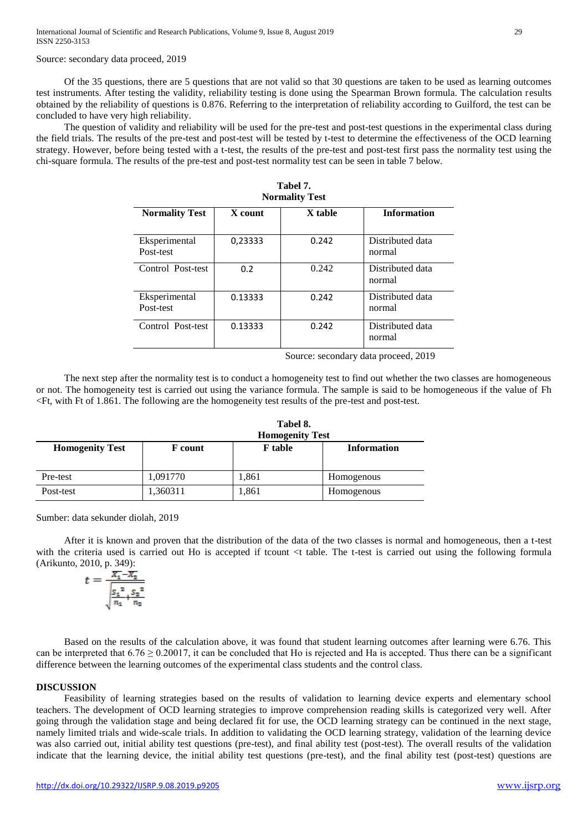### Source: secondary data proceed, 2019

Of the 35 questions, there are 5 questions that are not valid so that 30 questions are taken to be used as learning outcomes test instruments. After testing the validity, reliability testing is done using the Spearman Brown formula. The calculation results obtained by the reliability of questions is 0.876. Referring to the interpretation of reliability according to Guilford, the test can be concluded to have very high reliability.

The question of validity and reliability will be used for the pre-test and post-test questions in the experimental class during the field trials. The results of the pre-test and post-test will be tested by t-test to determine the effectiveness of the OCD learning strategy. However, before being tested with a t-test, the results of the pre-test and post-test first pass the normality test using the chi-square formula. The results of the pre-test and post-test normality test can be seen in table 7 below.

**Tabel 7.** 

| <b>Normality Test</b>      |         |         |                            |  |
|----------------------------|---------|---------|----------------------------|--|
| <b>Normality Test</b>      | X count | X table | <b>Information</b>         |  |
| Eksperimental<br>Post-test | 0,23333 | 0.242   | Distributed data<br>normal |  |
| Control Post-test          | 0.2     | 0.242   | Distributed data<br>normal |  |
| Eksperimental<br>Post-test | 0.13333 | 0.242   | Distributed data<br>normal |  |
| Control Post-test          | 0.13333 | 0.242   | Distributed data<br>normal |  |

Source: secondary data proceed, 2019

The next step after the normality test is to conduct a homogeneity test to find out whether the two classes are homogeneous or not. The homogeneity test is carried out using the variance formula. The sample is said to be homogeneous if the value of Fh <Ft, with Ft of 1.861. The following are the homogeneity test results of the pre-test and post-test.

|                        | Tabel 8.<br><b>Homogenity Test</b><br><b>Information</b><br><b>F</b> table<br><b>F</b> count |       |            |  |
|------------------------|----------------------------------------------------------------------------------------------|-------|------------|--|
| <b>Homogenity Test</b> |                                                                                              |       |            |  |
| Pre-test               | 1,091770                                                                                     | 1,861 | Homogenous |  |
| Post-test              | 1,360311                                                                                     | 1,861 | Homogenous |  |

Sumber: data sekunder diolah, 2019

After it is known and proven that the distribution of the data of the two classes is normal and homogeneous, then a t-test with the criteria used is carried out Ho is accepted if tcount <t table. The t-test is carried out using the following formula (Arikunto, 2010, p. 349):

$$
t = \frac{\overline{X_1} - \overline{X_2}}{\sqrt{\frac{S_1^2}{n_1} + \frac{S_2^2}{n_2}}}
$$

Based on the results of the calculation above, it was found that student learning outcomes after learning were 6.76. This can be interpreted that  $6.76 \ge 0.20017$ , it can be concluded that Ho is rejected and Ha is accepted. Thus there can be a significant difference between the learning outcomes of the experimental class students and the control class.

#### **DISCUSSION**

Feasibility of learning strategies based on the results of validation to learning device experts and elementary school teachers. The development of OCD learning strategies to improve comprehension reading skills is categorized very well. After going through the validation stage and being declared fit for use, the OCD learning strategy can be continued in the next stage, namely limited trials and wide-scale trials. In addition to validating the OCD learning strategy, validation of the learning device was also carried out, initial ability test questions (pre-test), and final ability test (post-test). The overall results of the validation indicate that the learning device, the initial ability test questions (pre-test), and the final ability test (post-test) questions are